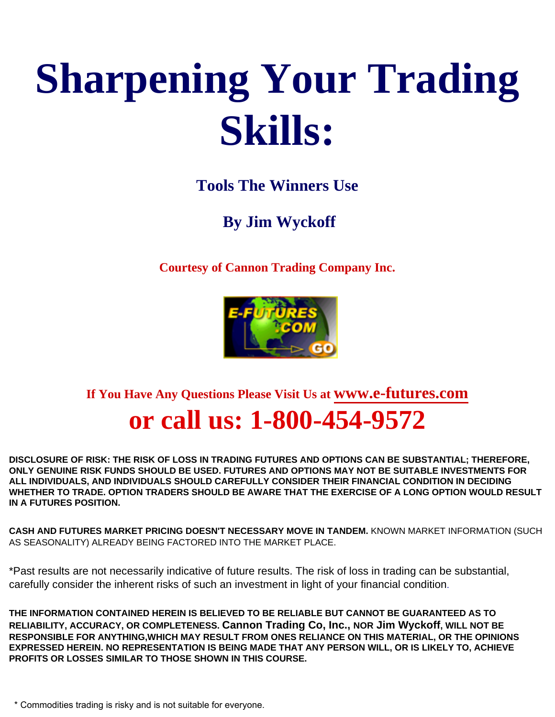# **Sharpening Your Trading Skills:**

# **Tools The Winners Use**

# **By Jim Wyckoff**

**Courtesy of Cannon Trading Company Inc.**



**If You Have Any Questions Please Visit Us at [www.e-futures.com](http://www.e-futures.com/) or call us: 1-800-454-9572** 

**DISCLOSURE OF RISK: THE RISK OF LOSS IN TRADING FUTURES AND OPTIONS CAN BE SUBSTANTIAL; THEREFORE, ONLY GENUINE RISK FUNDS SHOULD BE USED. FUTURES AND OPTIONS MAY NOT BE SUITABLE INVESTMENTS FOR ALL INDIVIDUALS, AND INDIVIDUALS SHOULD CAREFULLY CONSIDER THEIR FINANCIAL CONDITION IN DECIDING WHETHER TO TRADE. OPTION TRADERS SHOULD BE AWARE THAT THE EXERCISE OF A LONG OPTION WOULD RESULT IN A FUTURES POSITION.** 

**CASH AND FUTURES MARKET PRICING DOESN'T NECESSARY MOVE IN TANDEM.** KNOWN MARKET INFORMATION (SUCH AS SEASONALITY) ALREADY BEING FACTORED INTO THE MARKET PLACE.

\*Past results are not necessarily indicative of future results. The risk of loss in trading can be substantial, carefully consider the inherent risks of such an investment in light of your financial condition.

**THE INFORMATION CONTAINED HEREIN IS BELIEVED TO BE RELIABLE BUT CANNOT BE GUARANTEED AS TO RELIABILITY, ACCURACY, OR COMPLETENESS. Cannon Trading Co, Inc., NOR Jim Wyckoff, WILL NOT BE RESPONSIBLE FOR ANYTHING,WHICH MAY RESULT FROM ONES RELIANCE ON THIS MATERIAL, OR THE OPINIONS EXPRESSED HEREIN. NO REPRESENTATION IS BEING MADE THAT ANY PERSON WILL, OR IS LIKELY TO, ACHIEVE PROFITS OR LOSSES SIMILAR TO THOSE SHOWN IN THIS COURSE.**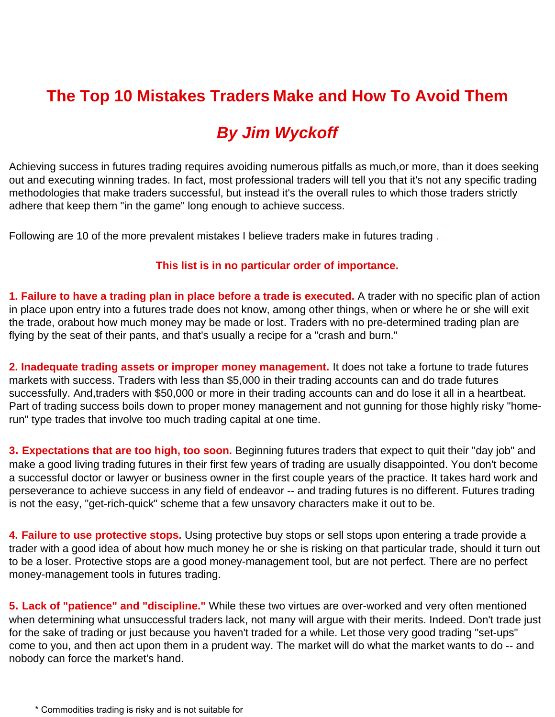### **The Top 10 Mistakes Traders Make and How To Avoid Them**

# *By Jim Wyckoff*

Achieving success in futures trading requires avoiding numerous pitfalls as much,or more, than it does seeking out and executing winning trades. In fact, most professional traders will tell you that it's not any specific trading methodologies that make traders successful, but instead it's the overall rules to which those traders strictly adhere that keep them "in the game" long enough to achieve success.

Following are 10 of the more prevalent mistakes I believe traders make in futures trading .

### **This list is in no particular order of importance.**

**1. Failure to have a trading plan in place before a trade is executed.** A trader with no specific plan of action in place upon entry into a futures trade does not know, among other things, when or where he or she will exit the trade, orabout how much money may be made or lost. Traders with no pre-determined trading plan are flying by the seat of their pants, and that's usually a recipe for a "crash and burn."

**2. Inadequate trading assets or improper money management.** It does not take a fortune to trade futures markets with success. Traders with less than \$5,000 in their trading accounts can and do trade futures successfully. And,traders with \$50,000 or more in their trading accounts can and do lose it all in a heartbeat. Part of trading success boils down to proper money management and not gunning for those highly risky "homerun" type trades that involve too much trading capital at one time.

**3. Expectations that are too high, too soon.** Beginning futures traders that expect to quit their "day job" and make a good living trading futures in their first few years of trading are usually disappointed. You don't become a successful doctor or lawyer or business owner in the first couple years of the practice. It takes hard work and perseverance to achieve success in any field of endeavor -- and trading futures is no different. Futures trading is not the easy, "get-rich-quick" scheme that a few unsavory characters make it out to be.

**4. Failure to use protective stops.** Using protective buy stops or sell stops upon entering a trade provide a trader with a good idea of about how much money he or she is risking on that particular trade, should it turn out to be a loser. Protective stops are a good money-management tool, but are not perfect. There are no perfect money-management tools in futures trading.

**5. Lack of "patience" and "discipline."** While these two virtues are over-worked and very often mentioned when determining what unsuccessful traders lack, not many will argue with their merits. Indeed. Don't trade just for the sake of trading or just because you haven't traded for a while. Let those very good trading "set-ups" come to you, and then act upon them in a prudent way. The market will do what the market wants to do -- and nobody can force the market's hand.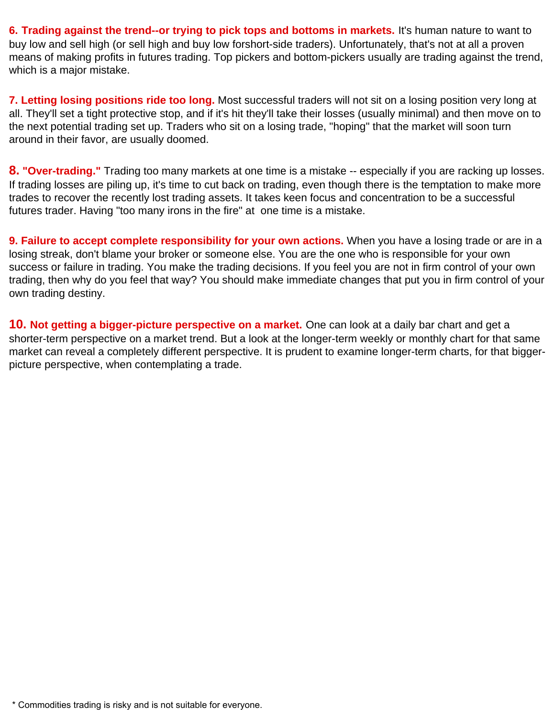**6. Trading against the trend--or trying to pick tops and bottoms in markets.** It's human nature to want to buy low and sell high (or sell high and buy low forshort-side traders). Unfortunately, that's not at all a proven means of making profits in futures trading. Top pickers and bottom-pickers usually are trading against the trend, which is a major mistake.

**7. Letting losing positions ride too long.** Most successful traders will not sit on a losing position very long at all. They'll set a tight protective stop, and if it's hit they'll take their losses (usually minimal) and then move on to the next potential trading set up. Traders who sit on a losing trade, "hoping" that the market will soon turn around in their favor, are usually doomed.

**8. "Over-trading."** Trading too many markets at one time is a mistake -- especially if you are racking up losses. If trading losses are piling up, it's time to cut back on trading, even though there is the temptation to make more trades to recover the recently lost trading assets. It takes keen focus and concentration to be a successful futures trader. Having "too many irons in the fire" at one time is a mistake.

**9. Failure to accept complete responsibility for your own actions.** When you have a losing trade or are in a losing streak, don't blame your broker or someone else. You are the one who is responsible for your own success or failure in trading. You make the trading decisions. If you feel you are not in firm control of your own trading, then why do you feel that way? You should make immediate changes that put you in firm control of your own trading destiny.

**10. Not getting a bigger-picture perspective on a market.** One can look at a daily bar chart and get a shorter-term perspective on a market trend. But a look at the longer-term weekly or monthly chart for that same market can reveal a completely different perspective. It is prudent to examine longer-term charts, for that biggerpicture perspective, when contemplating a trade.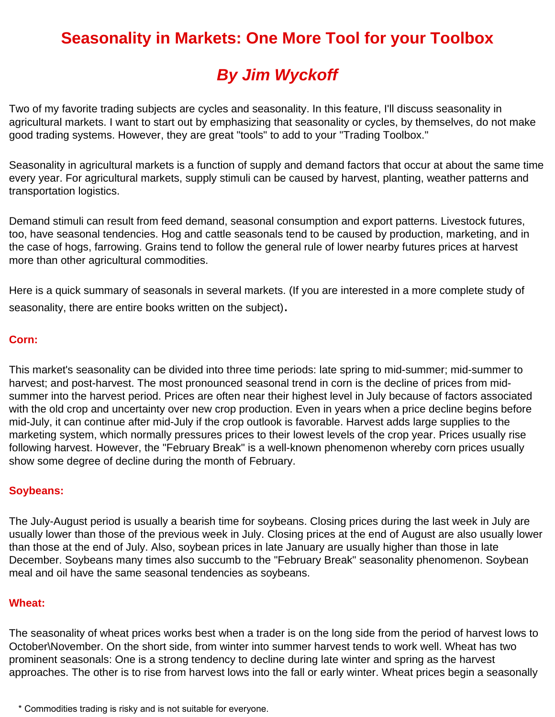# **Seasonality in Markets: One More Tool for your Toolbox**

# *By Jim Wyckoff*

Two of my favorite trading subjects are cycles and seasonality. In this feature, I'll discuss seasonality in agricultural markets. I want to start out by emphasizing that seasonality or cycles, by themselves, do not make good trading systems. However, they are great "tools" to add to your "Trading Toolbox."

Seasonality in agricultural markets is a function of supply and demand factors that occur at about the same time every year. For agricultural markets, supply stimuli can be caused by harvest, planting, weather patterns and transportation logistics.

Demand stimuli can result from feed demand, seasonal consumption and export patterns. Livestock futures, too, have seasonal tendencies. Hog and cattle seasonals tend to be caused by production, marketing, and in the case of hogs, farrowing. Grains tend to follow the general rule of lower nearby futures prices at harvest more than other agricultural commodities.

Here is a quick summary of seasonals in several markets. (If you are interested in a more complete study of seasonality, there are entire books written on the subject).

### **Corn:**

This market's seasonality can be divided into three time periods: late spring to mid-summer; mid-summer to harvest; and post-harvest. The most pronounced seasonal trend in corn is the decline of prices from midsummer into the harvest period. Prices are often near their highest level in July because of factors associated with the old crop and uncertainty over new crop production. Even in years when a price decline begins before mid-July, it can continue after mid-July if the crop outlook is favorable. Harvest adds large supplies to the marketing system, which normally pressures prices to their lowest levels of the crop year. Prices usually rise following harvest. However, the "February Break" is a well-known phenomenon whereby corn prices usually show some degree of decline during the month of February.

### **Soybeans:**

The July-August period is usually a bearish time for soybeans. Closing prices during the last week in July are usually lower than those of the previous week in July. Closing prices at the end of August are also usually lower than those at the end of July. Also, soybean prices in late January are usually higher than those in late December. Soybeans many times also succumb to the "February Break" seasonality phenomenon. Soybean meal and oil have the same seasonal tendencies as soybeans.

### **Wheat:**

The seasonality of wheat prices works best when a trader is on the long side from the period of harvest lows to October\November. On the short side, from winter into summer harvest tends to work well. Wheat has two prominent seasonals: One is a strong tendency to decline during late winter and spring as the harvest approaches. The other is to rise from harvest lows into the fall or early winter. Wheat prices begin a seasonally

<sup>\*</sup> Commodities trading is risky and is not suitable for everyone.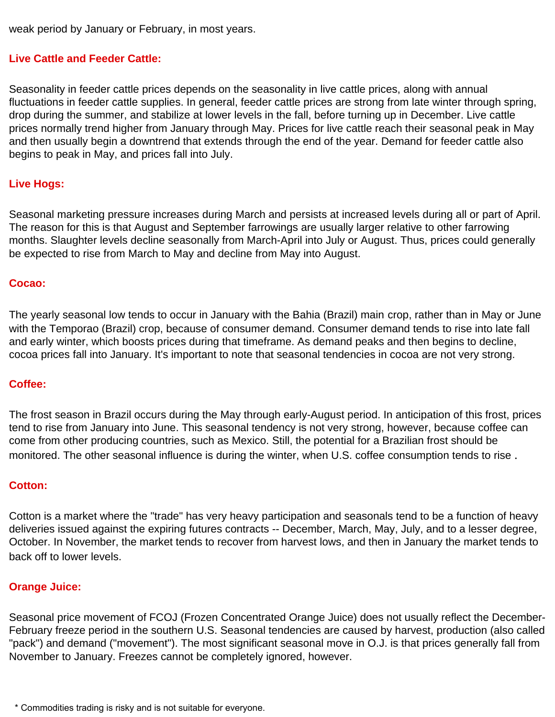weak period by January or February, in most years.

### **Live Cattle and Feeder Cattle:**

Seasonality in feeder cattle prices depends on the seasonality in live cattle prices, along with annual fluctuations in feeder cattle supplies. In general, feeder cattle prices are strong from late winter through spring, drop during the summer, and stabilize at lower levels in the fall, before turning up in December. Live cattle prices normally trend higher from January through May. Prices for live cattle reach their seasonal peak in May and then usually begin a downtrend that extends through the end of the year. Demand for feeder cattle also begins to peak in May, and prices fall into July.

#### **Live Hogs:**

Seasonal marketing pressure increases during March and persists at increased levels during all or part of April. The reason for this is that August and September farrowings are usually larger relative to other farrowing months. Slaughter levels decline seasonally from March-April into July or August. Thus, prices could generally be expected to rise from March to May and decline from May into August.

#### **Cocao:**

The yearly seasonal low tends to occur in January with the Bahia (Brazil) main crop, rather than in May or June with the Temporao (Brazil) crop, because of consumer demand. Consumer demand tends to rise into late fall and early winter, which boosts prices during that timeframe. As demand peaks and then begins to decline, cocoa prices fall into January. It's important to note that seasonal tendencies in cocoa are not very strong.

### **Coffee:**

The frost season in Brazil occurs during the May through early-August period. In anticipation of this frost, prices tend to rise from January into June. This seasonal tendency is not very strong, however, because coffee can come from other producing countries, such as Mexico. Still, the potential for a Brazilian frost should be monitored. The other seasonal influence is during the winter, when U.S. coffee consumption tends to rise .

#### **Cotton:**

Cotton is a market where the "trade" has very heavy participation and seasonals tend to be a function of heavy deliveries issued against the expiring futures contracts -- December, March, May, July, and to a lesser degree, October. In November, the market tends to recover from harvest lows, and then in January the market tends to back off to lower levels.

### **Orange Juice:**

Seasonal price movement of FCOJ (Frozen Concentrated Orange Juice) does not usually reflect the December-February freeze period in the southern U.S. Seasonal tendencies are caused by harvest, production (also called "pack") and demand ("movement"). The most significant seasonal move in O.J. is that prices generally fall from November to January. Freezes cannot be completely ignored, however.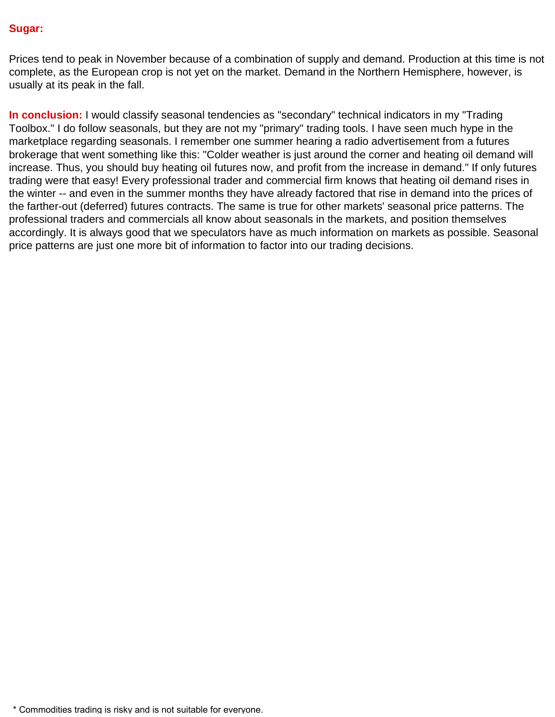#### **Sugar:**

Prices tend to peak in November because of a combination of supply and demand. Production at this time is not complete, as the European crop is not yet on the market. Demand in the Northern Hemisphere, however, is usually at its peak in the fall.

**In conclusion:** I would classify seasonal tendencies as "secondary" technical indicators in my "Trading Toolbox." I do follow seasonals, but they are not my "primary" trading tools. I have seen much hype in the marketplace regarding seasonals. I remember one summer hearing a radio advertisement from a futures brokerage that went something like this: "Colder weather is just around the corner and heating oil demand will increase. Thus, you should buy heating oil futures now, and profit from the increase in demand." If only futures trading were that easy! Every professional trader and commercial firm knows that heating oil demand rises in the winter -- and even in the summer months they have already factored that rise in demand into the prices of the farther-out (deferred) futures contracts. The same is true for other markets' seasonal price patterns. The professional traders and commercials all know about seasonals in the markets, and position themselves accordingly. It is always good that we speculators have as much information on markets as possible. Seasonal price patterns are just one more bit of information to factor into our trading decisions.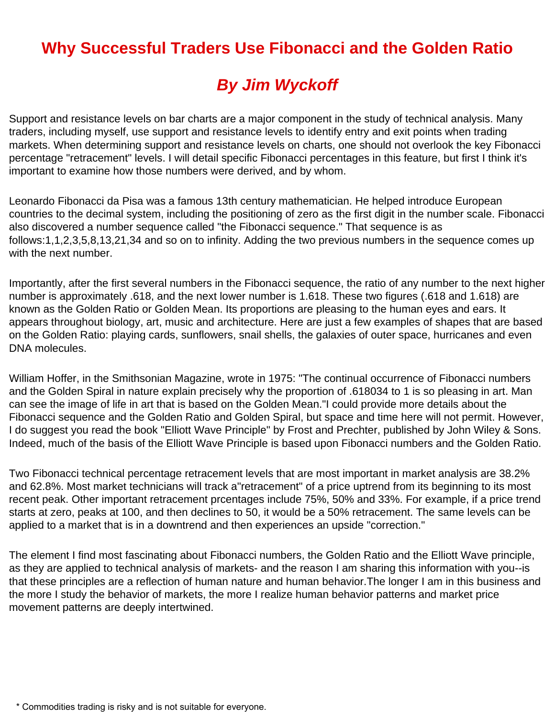# **Why Successful Traders Use Fibonacci and the Golden Ratio**

# *By Jim Wyckoff*

Support and resistance levels on bar charts are a major component in the study of technical analysis. Many traders, including myself, use support and resistance levels to identify entry and exit points when trading markets. When determining support and resistance levels on charts, one should not overlook the key Fibonacci percentage "retracement" levels. I will detail specific Fibonacci percentages in this feature, but first I think it's important to examine how those numbers were derived, and by whom.

Leonardo Fibonacci da Pisa was a famous 13th century mathematician. He helped introduce European countries to the decimal system, including the positioning of zero as the first digit in the number scale. Fibonacci also discovered a number sequence called "the Fibonacci sequence." That sequence is as follows:1,1,2,3,5,8,13,21,34 and so on to infinity. Adding the two previous numbers in the sequence comes up with the next number.

Importantly, after the first several numbers in the Fibonacci sequence, the ratio of any number to the next higher number is approximately .618, and the next lower number is 1.618. These two figures (.618 and 1.618) are known as the Golden Ratio or Golden Mean. Its proportions are pleasing to the human eyes and ears. It appears throughout biology, art, music and architecture. Here are just a few examples of shapes that are based on the Golden Ratio: playing cards, sunflowers, snail shells, the galaxies of outer space, hurricanes and even DNA molecules.

William Hoffer, in the Smithsonian Magazine, wrote in 1975: "The continual occurrence of Fibonacci numbers and the Golden Spiral in nature explain precisely why the proportion of .618034 to 1 is so pleasing in art. Man can see the image of life in art that is based on the Golden Mean."I could provide more details about the Fibonacci sequence and the Golden Ratio and Golden Spiral, but space and time here will not permit. However, I do suggest you read the book "Elliott Wave Principle" by Frost and Prechter, published by John Wiley & Sons. Indeed, much of the basis of the Elliott Wave Principle is based upon Fibonacci numbers and the Golden Ratio.

Two Fibonacci technical percentage retracement levels that are most important in market analysis are 38.2% and 62.8%. Most market technicians will track a"retracement" of a price uptrend from its beginning to its most recent peak. Other important retracement prcentages include 75%, 50% and 33%. For example, if a price trend starts at zero, peaks at 100, and then declines to 50, it would be a 50% retracement. The same levels can be applied to a market that is in a downtrend and then experiences an upside "correction."

The element I find most fascinating about Fibonacci numbers, the Golden Ratio and the Elliott Wave principle, as they are applied to technical analysis of markets- and the reason I am sharing this information with you--is that these principles are a reflection of human nature and human behavior.The longer I am in this business and the more I study the behavior of markets, the more I realize human behavior patterns and market price movement patterns are deeply intertwined.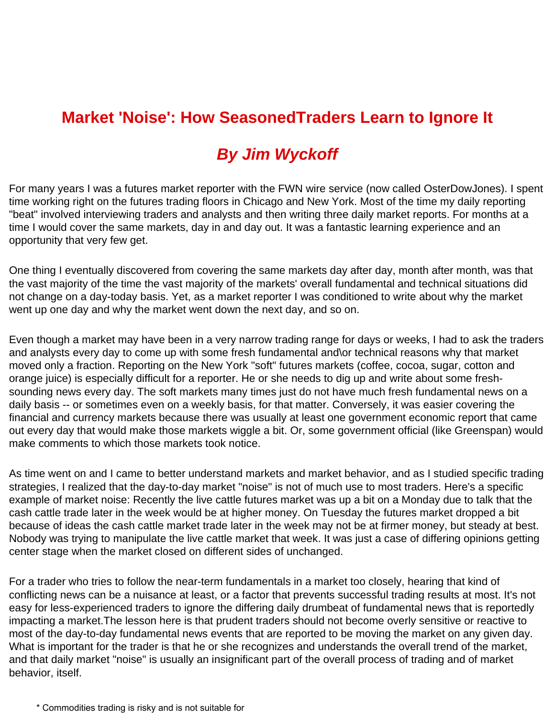# **Market 'Noise': How SeasonedTraders Learn to Ignore It**

# *By Jim Wyckoff*

For many years I was a futures market reporter with the FWN wire service (now called OsterDowJones). I spent time working right on the futures trading floors in Chicago and New York. Most of the time my daily reporting "beat" involved interviewing traders and analysts and then writing three daily market reports. For months at a time I would cover the same markets, day in and day out. It was a fantastic learning experience and an opportunity that very few get.

One thing I eventually discovered from covering the same markets day after day, month after month, was that the vast majority of the time the vast majority of the markets' overall fundamental and technical situations did not change on a day-today basis. Yet, as a market reporter I was conditioned to write about why the market went up one day and why the market went down the next day, and so on.

Even though a market may have been in a very narrow trading range for days or weeks, I had to ask the traders and analysts every day to come up with some fresh fundamental and\or technical reasons why that market moved only a fraction. Reporting on the New York "soft" futures markets (coffee, cocoa, sugar, cotton and orange juice) is especially difficult for a reporter. He or she needs to dig up and write about some freshsounding news every day. The soft markets many times just do not have much fresh fundamental news on a daily basis -- or sometimes even on a weekly basis, for that matter. Conversely, it was easier covering the financial and currency markets because there was usually at least one government economic report that came out every day that would make those markets wiggle a bit. Or, some government official (like Greenspan) would make comments to which those markets took notice.

As time went on and I came to better understand markets and market behavior, and as I studied specific trading strategies, I realized that the day-to-day market "noise" is not of much use to most traders. Here's a specific example of market noise: Recently the live cattle futures market was up a bit on a Monday due to talk that the cash cattle trade later in the week would be at higher money. On Tuesday the futures market dropped a bit because of ideas the cash cattle market trade later in the week may not be at firmer money, but steady at best. Nobody was trying to manipulate the live cattle market that week. It was just a case of differing opinions getting center stage when the market closed on different sides of unchanged.

For a trader who tries to follow the near-term fundamentals in a market too closely, hearing that kind of conflicting news can be a nuisance at least, or a factor that prevents successful trading results at most. It's not easy for less-experienced traders to ignore the differing daily drumbeat of fundamental news that is reportedly impacting a market.The lesson here is that prudent traders should not become overly sensitive or reactive to most of the day-to-day fundamental news events that are reported to be moving the market on any given day. What is important for the trader is that he or she recognizes and understands the overall trend of the market, and that daily market "noise" is usually an insignificant part of the overall process of trading and of market behavior, itself.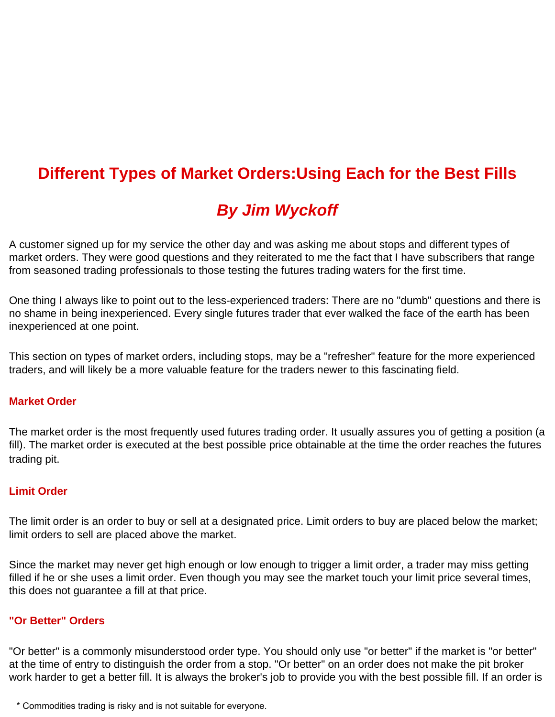### **Different Types of Market Orders:Using Each for the Best Fills**

# *By Jim Wyckoff*

A customer signed up for my service the other day and was asking me about stops and different types of market orders. They were good questions and they reiterated to me the fact that I have subscribers that range from seasoned trading professionals to those testing the futures trading waters for the first time.

One thing I always like to point out to the less-experienced traders: There are no "dumb" questions and there is no shame in being inexperienced. Every single futures trader that ever walked the face of the earth has been inexperienced at one point.

This section on types of market orders, including stops, may be a "refresher" feature for the more experienced traders, and will likely be a more valuable feature for the traders newer to this fascinating field.

#### **Market Order**

The market order is the most frequently used futures trading order. It usually assures you of getting a position (a fill). The market order is executed at the best possible price obtainable at the time the order reaches the futures trading pit.

### **Limit Order**

The limit order is an order to buy or sell at a designated price. Limit orders to buy are placed below the market; limit orders to sell are placed above the market.

Since the market may never get high enough or low enough to trigger a limit order, a trader may miss getting filled if he or she uses a limit order. Even though you may see the market touch your limit price several times, this does not guarantee a fill at that price.

#### **"Or Better" Orders**

"Or better" is a commonly misunderstood order type. You should only use "or better" if the market is "or better" at the time of entry to distinguish the order from a stop. "Or better" on an order does not make the pit broker work harder to get a better fill. It is always the broker's job to provide you with the best possible fill. If an order is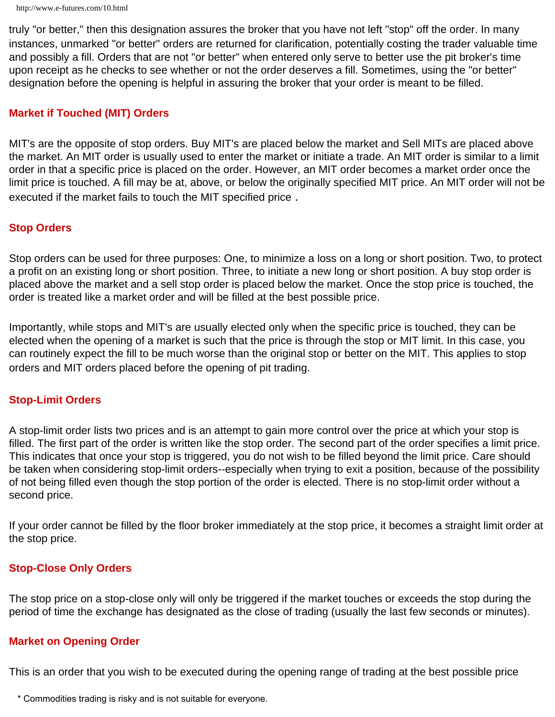truly "or better," then this designation assures the broker that you have not left "stop" off the order. In many instances, unmarked "or better" orders are returned for clarification, potentially costing the trader valuable time and possibly a fill. Orders that are not "or better" when entered only serve to better use the pit broker's time upon receipt as he checks to see whether or not the order deserves a fill. Sometimes, using the "or better" designation before the opening is helpful in assuring the broker that your order is meant to be filled.

### **Market if Touched (MIT) Orders**

MIT's are the opposite of stop orders. Buy MIT's are placed below the market and Sell MITs are placed above the market. An MIT order is usually used to enter the market or initiate a trade. An MIT order is similar to a limit order in that a specific price is placed on the order. However, an MIT order becomes a market order once the limit price is touched. A fill may be at, above, or below the originally specified MIT price. An MIT order will not be executed if the market fails to touch the MIT specified price .

#### **Stop Orders**

Stop orders can be used for three purposes: One, to minimize a loss on a long or short position. Two, to protect a profit on an existing long or short position. Three, to initiate a new long or short position. A buy stop order is placed above the market and a sell stop order is placed below the market. Once the stop price is touched, the order is treated like a market order and will be filled at the best possible price.

Importantly, while stops and MIT's are usually elected only when the specific price is touched, they can be elected when the opening of a market is such that the price is through the stop or MIT limit. In this case, you can routinely expect the fill to be much worse than the original stop or better on the MIT. This applies to stop orders and MIT orders placed before the opening of pit trading.

#### **Stop-Limit Orders**

A stop-limit order lists two prices and is an attempt to gain more control over the price at which your stop is filled. The first part of the order is written like the stop order. The second part of the order specifies a limit price. This indicates that once your stop is triggered, you do not wish to be filled beyond the limit price. Care should be taken when considering stop-limit orders--especially when trying to exit a position, because of the possibility of not being filled even though the stop portion of the order is elected. There is no stop-limit order without a second price.

If your order cannot be filled by the floor broker immediately at the stop price, it becomes a straight limit order at the stop price.

#### **Stop-Close Only Orders**

The stop price on a stop-close only will only be triggered if the market touches or exceeds the stop during the period of time the exchange has designated as the close of trading (usually the last few seconds or minutes).

#### **Market on Opening Order**

This is an order that you wish to be executed during the opening range of trading at the best possible price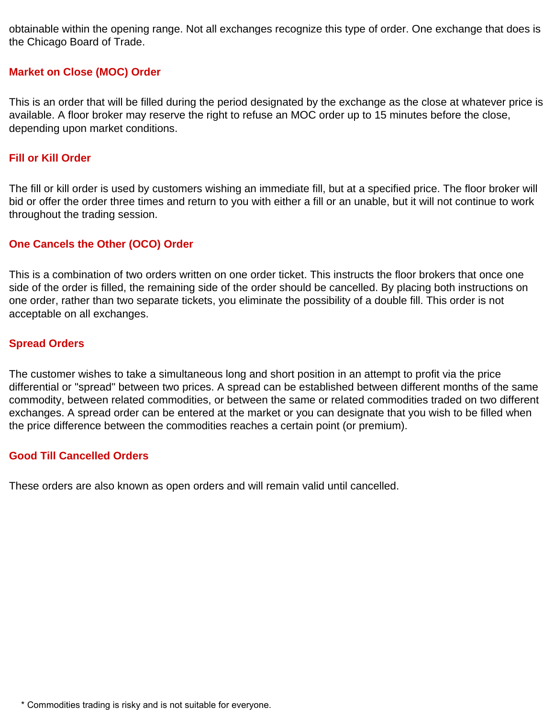obtainable within the opening range. Not all exchanges recognize this type of order. One exchange that does is the Chicago Board of Trade.

### **Market on Close (MOC) Order**

This is an order that will be filled during the period designated by the exchange as the close at whatever price is available. A floor broker may reserve the right to refuse an MOC order up to 15 minutes before the close, depending upon market conditions.

### **Fill or Kill Order**

The fill or kill order is used by customers wishing an immediate fill, but at a specified price. The floor broker will bid or offer the order three times and return to you with either a fill or an unable, but it will not continue to work throughout the trading session.

### **One Cancels the Other (OCO) Order**

This is a combination of two orders written on one order ticket. This instructs the floor brokers that once one side of the order is filled, the remaining side of the order should be cancelled. By placing both instructions on one order, rather than two separate tickets, you eliminate the possibility of a double fill. This order is not acceptable on all exchanges.

### **Spread Orders**

The customer wishes to take a simultaneous long and short position in an attempt to profit via the price differential or "spread" between two prices. A spread can be established between different months of the same commodity, between related commodities, or between the same or related commodities traded on two different exchanges. A spread order can be entered at the market or you can designate that you wish to be filled when the price difference between the commodities reaches a certain point (or premium).

### **Good Till Cancelled Orders**

These orders are also known as open orders and will remain valid until cancelled.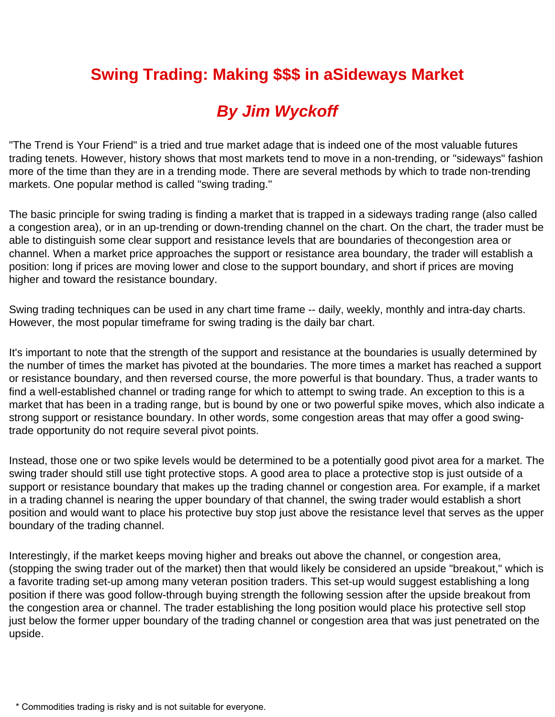# **Swing Trading: Making \$\$\$ in aSideways Market**

# *By Jim Wyckoff*

"The Trend is Your Friend" is a tried and true market adage that is indeed one of the most valuable futures trading tenets. However, history shows that most markets tend to move in a non-trending, or "sideways" fashion more of the time than they are in a trending mode. There are several methods by which to trade non-trending markets. One popular method is called "swing trading."

The basic principle for swing trading is finding a market that is trapped in a sideways trading range (also called a congestion area), or in an up-trending or down-trending channel on the chart. On the chart, the trader must be able to distinguish some clear support and resistance levels that are boundaries of thecongestion area or channel. When a market price approaches the support or resistance area boundary, the trader will establish a position: long if prices are moving lower and close to the support boundary, and short if prices are moving higher and toward the resistance boundary.

Swing trading techniques can be used in any chart time frame -- daily, weekly, monthly and intra-day charts. However, the most popular timeframe for swing trading is the daily bar chart.

It's important to note that the strength of the support and resistance at the boundaries is usually determined by the number of times the market has pivoted at the boundaries. The more times a market has reached a support or resistance boundary, and then reversed course, the more powerful is that boundary. Thus, a trader wants to find a well-established channel or trading range for which to attempt to swing trade. An exception to this is a market that has been in a trading range, but is bound by one or two powerful spike moves, which also indicate a strong support or resistance boundary. In other words, some congestion areas that may offer a good swingtrade opportunity do not require several pivot points.

Instead, those one or two spike levels would be determined to be a potentially good pivot area for a market. The swing trader should still use tight protective stops. A good area to place a protective stop is just outside of a support or resistance boundary that makes up the trading channel or congestion area. For example, if a market in a trading channel is nearing the upper boundary of that channel, the swing trader would establish a short position and would want to place his protective buy stop just above the resistance level that serves as the upper boundary of the trading channel.

Interestingly, if the market keeps moving higher and breaks out above the channel, or congestion area, (stopping the swing trader out of the market) then that would likely be considered an upside "breakout," which is a favorite trading set-up among many veteran position traders. This set-up would suggest establishing a long position if there was good follow-through buying strength the following session after the upside breakout from the congestion area or channel. The trader establishing the long position would place his protective sell stop just below the former upper boundary of the trading channel or congestion area that was just penetrated on the upside.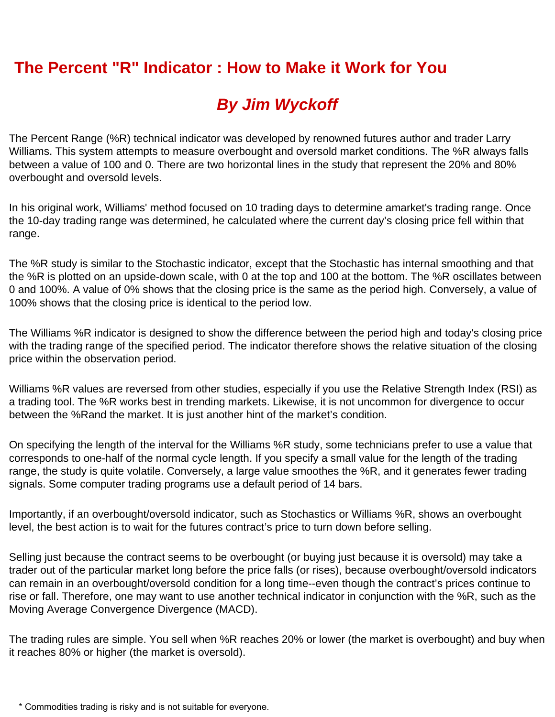# **The Percent "R" Indicator : How to Make it Work for You**

# *By Jim Wyckoff*

The Percent Range (%R) technical indicator was developed by renowned futures author and trader Larry Williams. This system attempts to measure overbought and oversold market conditions. The %R always falls between a value of 100 and 0. There are two horizontal lines in the study that represent the 20% and 80% overbought and oversold levels.

In his original work, Williams' method focused on 10 trading days to determine amarket's trading range. Once the 10-day trading range was determined, he calculated where the current day's closing price fell within that range.

The %R study is similar to the Stochastic indicator, except that the Stochastic has internal smoothing and that the %R is plotted on an upside-down scale, with 0 at the top and 100 at the bottom. The %R oscillates between 0 and 100%. A value of 0% shows that the closing price is the same as the period high. Conversely, a value of 100% shows that the closing price is identical to the period low.

The Williams %R indicator is designed to show the difference between the period high and today's closing price with the trading range of the specified period. The indicator therefore shows the relative situation of the closing price within the observation period.

Williams %R values are reversed from other studies, especially if you use the Relative Strength Index (RSI) as a trading tool. The %R works best in trending markets. Likewise, it is not uncommon for divergence to occur between the %Rand the market. It is just another hint of the market's condition.

On specifying the length of the interval for the Williams %R study, some technicians prefer to use a value that corresponds to one-half of the normal cycle length. If you specify a small value for the length of the trading range, the study is quite volatile. Conversely, a large value smoothes the %R, and it generates fewer trading signals. Some computer trading programs use a default period of 14 bars.

Importantly, if an overbought/oversold indicator, such as Stochastics or Williams %R, shows an overbought level, the best action is to wait for the futures contract's price to turn down before selling.

Selling just because the contract seems to be overbought (or buying just because it is oversold) may take a trader out of the particular market long before the price falls (or rises), because overbought/oversold indicators can remain in an overbought/oversold condition for a long time--even though the contract's prices continue to rise or fall. Therefore, one may want to use another technical indicator in conjunction with the %R, such as the Moving Average Convergence Divergence (MACD).

The trading rules are simple. You sell when %R reaches 20% or lower (the market is overbought) and buy when it reaches 80% or higher (the market is oversold).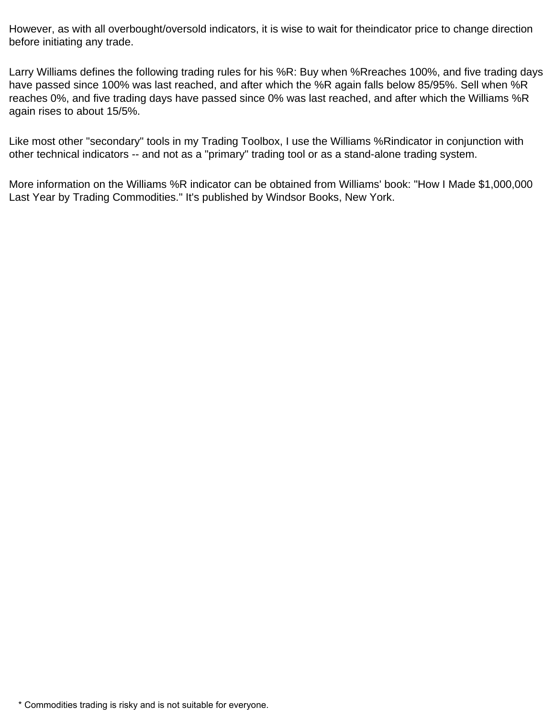However, as with all overbought/oversold indicators, it is wise to wait for theindicator price to change direction before initiating any trade.

Larry Williams defines the following trading rules for his %R: Buy when %Rreaches 100%, and five trading days have passed since 100% was last reached, and after which the %R again falls below 85/95%. Sell when %R reaches 0%, and five trading days have passed since 0% was last reached, and after which the Williams %R again rises to about 15/5%.

Like most other "secondary" tools in my Trading Toolbox, I use the Williams %Rindicator in conjunction with other technical indicators -- and not as a "primary" trading tool or as a stand-alone trading system.

More information on the Williams %R indicator can be obtained from Williams' book: "How I Made \$1,000,000 Last Year by Trading Commodities." It's published by Windsor Books, New York.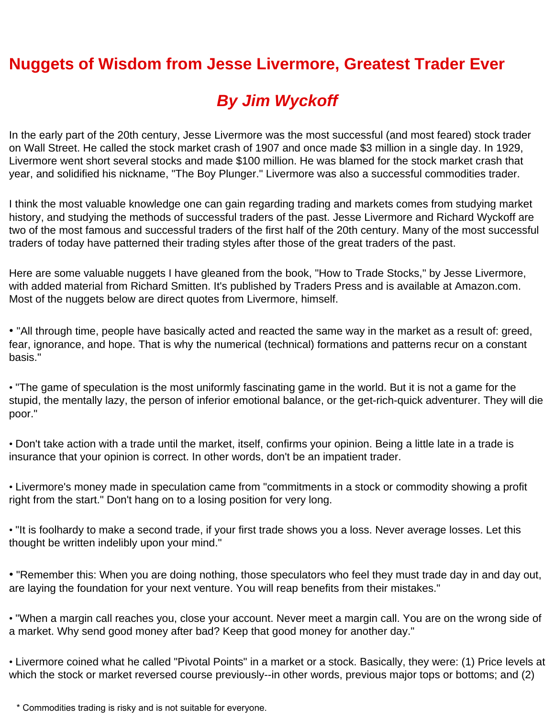# **Nuggets of Wisdom from Jesse Livermore, Greatest Trader Ever**

# *By Jim Wyckoff*

In the early part of the 20th century, Jesse Livermore was the most successful (and most feared) stock trader on Wall Street. He called the stock market crash of 1907 and once made \$3 million in a single day. In 1929, Livermore went short several stocks and made \$100 million. He was blamed for the stock market crash that year, and solidified his nickname, "The Boy Plunger." Livermore was also a successful commodities trader.

I think the most valuable knowledge one can gain regarding trading and markets comes from studying market history, and studying the methods of successful traders of the past. Jesse Livermore and Richard Wyckoff are two of the most famous and successful traders of the first half of the 20th century. Many of the most successful traders of today have patterned their trading styles after those of the great traders of the past.

Here are some valuable nuggets I have gleaned from the book, "How to Trade Stocks," by Jesse Livermore, with added material from Richard Smitten. It's published by Traders Press and is available at Amazon.com. Most of the nuggets below are direct quotes from Livermore, himself.

• "All through time, people have basically acted and reacted the same way in the market as a result of: greed, fear, ignorance, and hope. That is why the numerical (technical) formations and patterns recur on a constant basis."

• "The game of speculation is the most uniformly fascinating game in the world. But it is not a game for the stupid, the mentally lazy, the person of inferior emotional balance, or the get-rich-quick adventurer. They will die poor."

• Don't take action with a trade until the market, itself, confirms your opinion. Being a little late in a trade is insurance that your opinion is correct. In other words, don't be an impatient trader.

• Livermore's money made in speculation came from "commitments in a stock or commodity showing a profit right from the start." Don't hang on to a losing position for very long.

• "It is foolhardy to make a second trade, if your first trade shows you a loss. Never average losses. Let this thought be written indelibly upon your mind."

• "Remember this: When you are doing nothing, those speculators who feel they must trade day in and day out, are laying the foundation for your next venture. You will reap benefits from their mistakes."

• "When a margin call reaches you, close your account. Never meet a margin call. You are on the wrong side of a market. Why send good money after bad? Keep that good money for another day."

• Livermore coined what he called "Pivotal Points" in a market or a stock. Basically, they were: (1) Price levels at which the stock or market reversed course previously--in other words, previous major tops or bottoms; and (2)